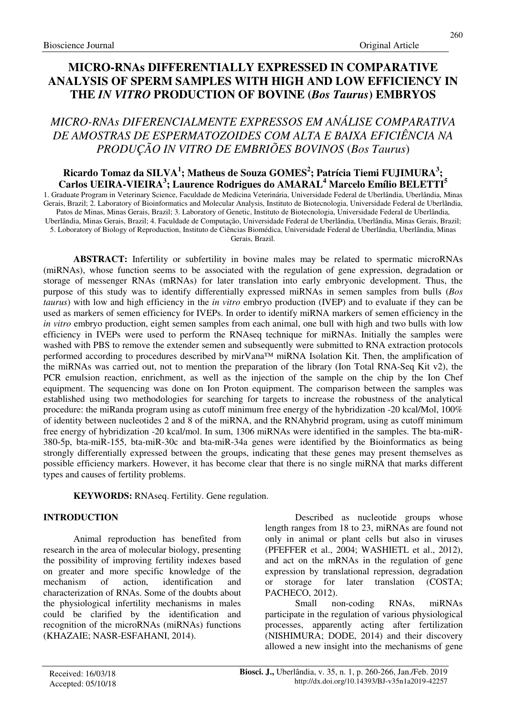# **MICRO-RNAs DIFFERENTIALLY EXPRESSED IN COMPARATIVE ANALYSIS OF SPERM SAMPLES WITH HIGH AND LOW EFFICIENCY IN THE** *IN VITRO* **PRODUCTION OF BOVINE (***Bos Taurus***) EMBRYOS**

# *MICRO-RNAs DIFERENCIALMENTE EXPRESSOS EM ANÁLISE COMPARATIVA DE AMOSTRAS DE ESPERMATOZOIDES COM ALTA E BAIXA EFICIÊNCIA NA PRODUÇÃO IN VITRO DE EMBRIÕES BOVINOS* (*Bos Taurus*)

## **Ricardo Tomaz da SILVA<sup>1</sup> ; Matheus de Souza GOMES<sup>2</sup> ; Patrícia Tiemi FUJIMURA<sup>3</sup> ; Carlos UEIRA-VIEIRA<sup>3</sup> ; Laurence Rodrigues do AMARAL<sup>4</sup> Marcelo Emílio BELETTI<sup>5</sup>**

1. Graduate Program in Veterinary Science, Faculdade de Medicina Veterinária, Universidade Federal de Uberlândia, Uberlândia, Minas Gerais, Brazil; 2. Laboratory of Bioinformatics and Molecular Analysis, Instituto de Biotecnologia, Universidade Federal de Uberlândia, Patos de Minas, Minas Gerais, Brazil; 3. Laboratory of Genetic, Instituto de Biotecnologia, Universidade Federal de Uberlândia, Uberlândia, Minas Gerais, Brazil; 4. Faculdade de Computação, Universidade Federal de Uberlândia, Uberlândia, Minas Gerais, Brazil; 5. Loboratory of Biology of Reproduction, Instituto de Ciências Biomédica, Universidade Federal de Uberlândia, Uberlândia, Minas Gerais, Brazil.

**ABSTRACT:** Infertility or subfertility in bovine males may be related to spermatic microRNAs (miRNAs), whose function seems to be associated with the regulation of gene expression, degradation or storage of messenger RNAs (mRNAs) for later translation into early embryonic development. Thus, the purpose of this study was to identify differentially expressed miRNAs in semen samples from bulls (*Bos taurus*) with low and high efficiency in the *in vitro* embryo production (IVEP) and to evaluate if they can be used as markers of semen efficiency for IVEPs. In order to identify miRNA markers of semen efficiency in the *in vitro* embryo production, eight semen samples from each animal, one bull with high and two bulls with low efficiency in IVEPs were used to perform the RNAseq technique for miRNAs. Initially the samples were washed with PBS to remove the extender semen and subsequently were submitted to RNA extraction protocols performed according to procedures described by mirVana™ miRNA Isolation Kit. Then, the amplification of the miRNAs was carried out, not to mention the preparation of the library (Ion Total RNA-Seq Kit v2), the PCR emulsion reaction, enrichment, as well as the injection of the sample on the chip by the Ion Chef equipment. The sequencing was done on Ion Proton equipment. The comparison between the samples was established using two methodologies for searching for targets to increase the robustness of the analytical procedure: the miRanda program using as cutoff minimum free energy of the hybridization -20 kcal/Mol, 100% of identity between nucleotides 2 and 8 of the miRNA, and the RNAhybrid program, using as cutoff minimum free energy of hybridization -20 kcal/mol. In sum, 1306 miRNAs were identified in the samples. The bta-miR-380-5p, bta-miR-155, bta-miR-30c and bta-miR-34a genes were identified by the Bioinformatics as being strongly differentially expressed between the groups, indicating that these genes may present themselves as possible efficiency markers. However, it has become clear that there is no single miRNA that marks different types and causes of fertility problems.

**KEYWORDS:** RNAseq. Fertility. Gene regulation.

## **INTRODUCTION**

Animal reproduction has benefited from research in the area of molecular biology, presenting the possibility of improving fertility indexes based on greater and more specific knowledge of the mechanism of action, identification and characterization of RNAs. Some of the doubts about the physiological infertility mechanisms in males could be clarified by the identification and recognition of the microRNAs (miRNAs) functions (KHAZAIE; NASR-ESFAHANI, 2014).

Described as nucleotide groups whose length ranges from 18 to 23, miRNAs are found not only in animal or plant cells but also in viruses (PFEFFER et al., 2004; WASHIETL et al., 2012), and act on the mRNAs in the regulation of gene expression by translational repression, degradation or storage for later translation (COSTA; PACHECO, 2012).

Small non-coding RNAs, miRNAs participate in the regulation of various physiological processes, apparently acting after fertilization (NISHIMURA; DODE, 2014) and their discovery allowed a new insight into the mechanisms of gene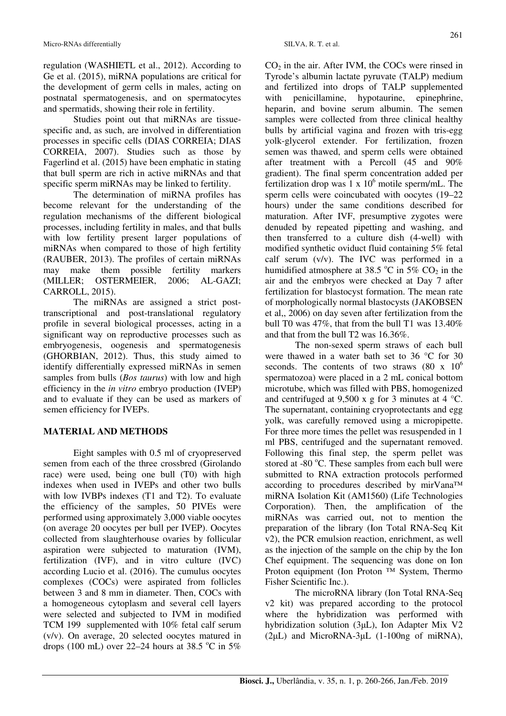regulation (WASHIETL et al., 2012). According to Ge et al. (2015), miRNA populations are critical for the development of germ cells in males, acting on postnatal spermatogenesis, and on spermatocytes and spermatids, showing their role in fertility.

Studies point out that miRNAs are tissuespecific and, as such, are involved in differentiation processes in specific cells (DIAS CORREIA; DIAS CORREIA, 2007). Studies such as those by Fagerlind et al. (2015) have been emphatic in stating that bull sperm are rich in active miRNAs and that specific sperm miRNAs may be linked to fertility.

The determination of miRNA profiles has become relevant for the understanding of the regulation mechanisms of the different biological processes, including fertility in males, and that bulls with low fertility present larger populations of miRNAs when compared to those of high fertility (RAUBER, 2013). The profiles of certain miRNAs may make them possible fertility markers (MILLER; OSTERMEIER, 2006; AL-GAZI; CARROLL, 2015).

The miRNAs are assigned a strict posttranscriptional and post-translational regulatory profile in several biological processes, acting in a significant way on reproductive processes such as embryogenesis, oogenesis and spermatogenesis (GHORBIAN, 2012). Thus, this study aimed to identify differentially expressed miRNAs in semen samples from bulls (*Bos taurus*) with low and high efficiency in the *in vitro* embryo production (IVEP) and to evaluate if they can be used as markers of semen efficiency for IVEPs.

## **MATERIAL AND METHODS**

Eight samples with 0.5 ml of cryopreserved semen from each of the three crossbred (Girolando race) were used, being one bull (T0) with high indexes when used in IVEPs and other two bulls with low IVBPs indexes (T1 and T2). To evaluate the efficiency of the samples, 50 PIVEs were performed using approximately 3,000 viable oocytes (on average 20 oocytes per bull per IVEP). Oocytes collected from slaughterhouse ovaries by follicular aspiration were subjected to maturation (IVM), fertilization (IVF), and in vitro culture (IVC) according Lucio et al. (2016). The cumulus oocytes complexes (COCs) were aspirated from follicles between 3 and 8 mm in diameter. Then, COCs with a homogeneous cytoplasm and several cell layers were selected and subjected to IVM in modified TCM 199 supplemented with 10% fetal calf serum (v/v). On average, 20 selected oocytes matured in drops (100 mL) over 22–24 hours at 38.5  $\degree$ C in 5%

 $CO<sub>2</sub>$  in the air. After IVM, the COCs were rinsed in Tyrode's albumin lactate pyruvate (TALP) medium and fertilized into drops of TALP supplemented with penicillamine, hypotaurine, epinephrine, heparin, and bovine serum albumin. The semen samples were collected from three clinical healthy bulls by artificial vagina and frozen with tris-egg yolk-glycerol extender. For fertilization, frozen semen was thawed, and sperm cells were obtained after treatment with a Percoll (45 and 90% gradient). The final sperm concentration added per fertilization drop was  $1 \times 10^6$  motile sperm/mL. The sperm cells were coincubated with oocytes (19–22 hours) under the same conditions described for maturation. After IVF, presumptive zygotes were denuded by repeated pipetting and washing, and then transferred to a culture dish (4-well) with modified synthetic oviduct fluid containing 5% fetal calf serum (v/v). The IVC was performed in a humidified atmosphere at 38.5  $\degree$ C in 5% CO<sub>2</sub> in the air and the embryos were checked at Day 7 after fertilization for blastocyst formation. The mean rate of morphologically normal blastocysts (JAKOBSEN et al,, 2006) on day seven after fertilization from the bull T0 was 47%, that from the bull T1 was 13.40% and that from the bull T2 was 16.36%.

The non-sexed sperm straws of each bull were thawed in a water bath set to 36 °C for 30 seconds. The contents of two straws  $(80 \times 10^6$ spermatozoa) were placed in a 2 mL conical bottom microtube, which was filled with PBS, homogenized and centrifuged at 9,500 x g for 3 minutes at 4 °C. The supernatant, containing cryoprotectants and egg yolk, was carefully removed using a micropipette. For three more times the pellet was resuspended in 1 ml PBS, centrifuged and the supernatant removed. Following this final step, the sperm pellet was stored at -80  $^{\circ}$ C. These samples from each bull were submitted to RNA extraction protocols performed according to procedures described by mirVana™ miRNA Isolation Kit (AM1560) (Life Technologies Corporation). Then, the amplification of the miRNAs was carried out, not to mention the preparation of the library (Ion Total RNA-Seq Kit v2), the PCR emulsion reaction, enrichment, as well as the injection of the sample on the chip by the Ion Chef equipment. The sequencing was done on Ion Proton equipment (Ion Proton ™ System, Thermo Fisher Scientific Inc.).

The microRNA library (Ion Total RNA-Seq v2 kit) was prepared according to the protocol where the hybridization was performed with hybridization solution (3µL), Ion Adapter Mix V2  $(2\mu L)$  and MicroRNA-3 $\mu L$  (1-100ng of miRNA),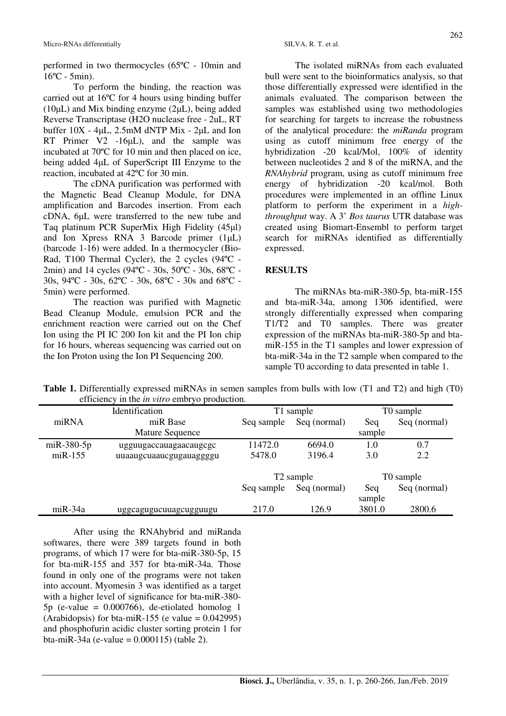performed in two thermocycles (65ºC - 10min and  $16^{\circ}$ C - 5min).

To perform the binding, the reaction was carried out at 16ºC for 4 hours using binding buffer (10µL) and Mix binding enzyme (2µL), being added Reverse Transcriptase (H2O nuclease free - 2uL, RT buffer 10X - 4µL, 2.5mM dNTP Mix - 2µL and Ion RT Primer V2 -16µL), and the sample was incubated at 70ºC for 10 min and then placed on ice, being added 4µL of SuperScript III Enzyme to the reaction, incubated at 42ºC for 30 min.

The cDNA purification was performed with the Magnetic Bead Cleanup Module, for DNA amplification and Barcodes insertion. From each cDNA, 6µL were transferred to the new tube and Taq platinum PCR SuperMix High Fidelity (45µl) and Ion Xpress RNA 3 Barcode primer (1µL) (barcode 1-16) were added. In a thermocycler (Bio-Rad, T100 Thermal Cycler), the 2 cycles (94ºC - 2min) and 14 cycles (94ºC - 30s, 50ºC - 30s, 68ºC - 30s, 94ºC - 30s, 62ºC - 30s, 68ºC - 30s and 68ºC - 5min) were performed.

The reaction was purified with Magnetic Bead Cleanup Module, emulsion PCR and the enrichment reaction were carried out on the Chef Ion using the PI IC 200 Ion kit and the PI Ion chip for 16 hours, whereas sequencing was carried out on the Ion Proton using the Ion PI Sequencing 200.

The isolated miRNAs from each evaluated bull were sent to the bioinformatics analysis, so that those differentially expressed were identified in the animals evaluated. The comparison between the samples was established using two methodologies for searching for targets to increase the robustness of the analytical procedure: the *miRanda* program using as cutoff minimum free energy of the hybridization -20 kcal/Mol, 100% of identity between nucleotides 2 and 8 of the miRNA, and the *RNAhybrid* program, using as cutoff minimum free energy of hybridization -20 kcal/mol. Both procedures were implemented in an offline Linux platform to perform the experiment in a *highthroughput* way. A 3' *Bos taurus* UTR database was created using Biomart-Ensembl to perform target search for miRNAs identified as differentially expressed.

#### **RESULTS**

The miRNAs bta-miR-380-5p, bta-miR-155 and bta-miR-34a, among 1306 identified, were strongly differentially expressed when comparing T1/T2 and T0 samples. There was greater expression of the miRNAs bta-miR-380-5p and btamiR-155 in the T1 samples and lower expression of bta-miR-34a in the T2 sample when compared to the sample T0 according to data presented in table 1.

| <b>Identification</b> |                         | T1 sample             |              | T0 sample |              |
|-----------------------|-------------------------|-----------------------|--------------|-----------|--------------|
| miRNA                 | miR Base                | Seq sample            | Seq (normal) | Seq       | Seq (normal) |
|                       | Mature Sequence         |                       |              | sample    |              |
| $m$ i R $-380-5p$     | ugguugaccauagaacaugcgc  | 11472.0               | 6694.0       | $1.0\,$   | 0.7          |
| $m$ i R $-155$        | uuaaugcuaaucgugauaggggu | 5478.0                | 3196.4       | 3.0       | 2.2          |
|                       |                         | T <sub>2</sub> sample |              | T0 sample |              |
|                       |                         | Seq sample            | Seq (normal) | Seq       | Seq (normal) |
|                       |                         |                       |              | sample    |              |
| miR-34a               | uggcagugucuuagcugguugu  | 217.0                 | 126.9        | 3801.0    | 2800.6       |

**Table 1.** Differentially expressed miRNAs in semen samples from bulls with low (T1 and T2) and high (T0) efficiency in the *in vitro* embryo production.

After using the RNAhybrid and miRanda softwares, there were 389 targets found in both programs, of which 17 were for bta-miR-380-5p, 15 for bta-miR-155 and 357 for bta-miR-34a. Those found in only one of the programs were not taken into account. Myomesin 3 was identified as a target with a higher level of significance for bta-miR-380-  $5p$  (e-value = 0.000766), de-etiolated homolog 1 (Arabidopsis) for bta-miR-155 (e value =  $0.042995$ ) and phosphofurin acidic cluster sorting protein 1 for bta-miR-34a (e-value =  $0.000115$ ) (table 2).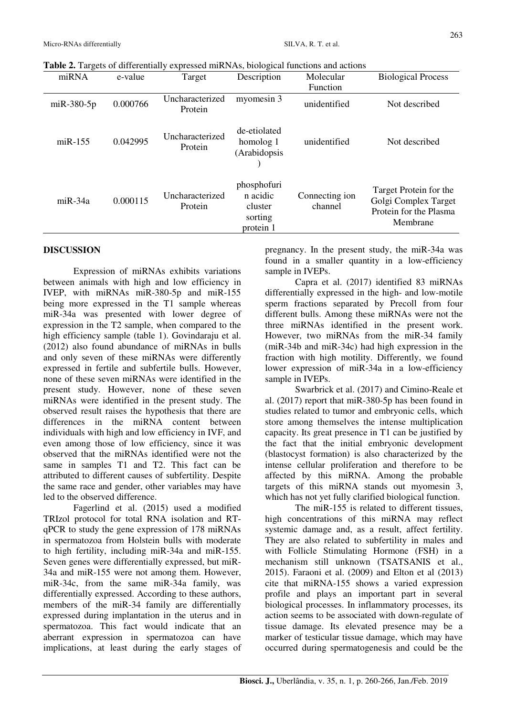| miRNA          | e-value  | Target                     | Description                                                | Molecular<br><b>Function</b> | <b>Biological Process</b>                                                            |
|----------------|----------|----------------------------|------------------------------------------------------------|------------------------------|--------------------------------------------------------------------------------------|
| $m$ iR-380-5p  | 0.000766 | Uncharacterized<br>Protein | myomesin 3                                                 | unidentified                 | Not described                                                                        |
| $m$ i R $-155$ | 0.042995 | Uncharacterized<br>Protein | de-etiolated<br>homolog <sub>1</sub><br>(Arabidopsis       | unidentified                 | Not described                                                                        |
| $miR-34a$      | 0.000115 | Uncharacterized<br>Protein | phosphofuri<br>n acidic<br>cluster<br>sorting<br>protein 1 | Connecting ion<br>channel    | Target Protein for the<br>Golgi Complex Target<br>Protein for the Plasma<br>Membrane |

**Table 2.** Targets of differentially expressed miRNAs, biological functions and actions

### **DISCUSSION**

Expression of miRNAs exhibits variations between animals with high and low efficiency in IVEP, with miRNAs miR-380-5p and miR-155 being more expressed in the T1 sample whereas miR-34a was presented with lower degree of expression in the T2 sample, when compared to the high efficiency sample (table 1). Govindaraju et al. (2012) also found abundance of miRNAs in bulls and only seven of these miRNAs were differently expressed in fertile and subfertile bulls. However, none of these seven miRNAs were identified in the present study. However, none of these seven miRNAs were identified in the present study. The observed result raises the hypothesis that there are differences in the miRNA content between individuals with high and low efficiency in IVF, and even among those of low efficiency, since it was observed that the miRNAs identified were not the same in samples T1 and T2. This fact can be attributed to different causes of subfertility. Despite the same race and gender, other variables may have led to the observed difference.

Fagerlind et al. (2015) used a modified TRIzol protocol for total RNA isolation and RTqPCR to study the gene expression of 178 miRNAs in spermatozoa from Holstein bulls with moderate to high fertility, including miR-34a and miR-155. Seven genes were differentially expressed, but miR-34a and miR-155 were not among them. However, miR-34c, from the same miR-34a family, was differentially expressed. According to these authors, members of the miR-34 family are differentially expressed during implantation in the uterus and in spermatozoa. This fact would indicate that an aberrant expression in spermatozoa can have implications, at least during the early stages of pregnancy. In the present study, the miR-34a was found in a smaller quantity in a low-efficiency sample in IVEPs.

Capra et al. (2017) identified 83 miRNAs differentially expressed in the high- and low-motile sperm fractions separated by Precoll from four different bulls. Among these miRNAs were not the three miRNAs identified in the present work. However, two miRNAs from the miR-34 family (miR-34b and miR-34c) had high expression in the fraction with high motility. Differently, we found lower expression of miR-34a in a low-efficiency sample in IVEPs.

Swarbrick et al. (2017) and Cimino-Reale et al. (2017) report that miR-380-5p has been found in studies related to tumor and embryonic cells, which store among themselves the intense multiplication capacity. Its great presence in T1 can be justified by the fact that the initial embryonic development (blastocyst formation) is also characterized by the intense cellular proliferation and therefore to be affected by this miRNA. Among the probable targets of this miRNA stands out myomesin 3, which has not yet fully clarified biological function.

The miR-155 is related to different tissues, high concentrations of this miRNA may reflect systemic damage and, as a result, affect fertility. They are also related to subfertility in males and with Follicle Stimulating Hormone (FSH) in a mechanism still unknown (TSATSANIS et al., 2015). Faraoni et al. (2009) and Elton et al (2013) cite that miRNA-155 shows a varied expression profile and plays an important part in several biological processes. In inflammatory processes, its action seems to be associated with down-regulate of tissue damage. Its elevated presence may be a marker of testicular tissue damage, which may have occurred during spermatogenesis and could be the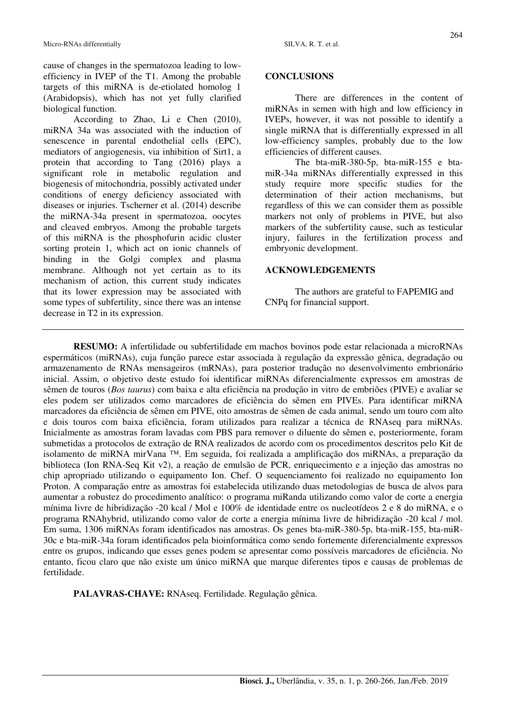cause of changes in the spermatozoa leading to lowefficiency in IVEP of the T1. Among the probable targets of this miRNA is de-etiolated homolog 1 (Arabidopsis), which has not yet fully clarified biological function.

According to Zhao, Li e Chen (2010), miRNA 34a was associated with the induction of senescence in parental endothelial cells (EPC), mediators of angiogenesis, via inhibition of Sirt1, a protein that according to Tang (2016) plays a significant role in metabolic regulation and biogenesis of mitochondria, possibly activated under conditions of energy deficiency associated with diseases or injuries. Tscherner et al. (2014) describe the miRNA-34a present in spermatozoa, oocytes and cleaved embryos. Among the probable targets of this miRNA is the phosphofurin acidic cluster sorting protein 1, which act on ionic channels of binding in the Golgi complex and plasma membrane. Although not yet certain as to its mechanism of action, this current study indicates that its lower expression may be associated with some types of subfertility, since there was an intense decrease in T2 in its expression.

#### **CONCLUSIONS**

There are differences in the content of miRNAs in semen with high and low efficiency in IVEPs, however, it was not possible to identify a single miRNA that is differentially expressed in all low-efficiency samples, probably due to the low efficiencies of different causes.

The bta-miR-380-5p, bta-miR-155 e btamiR-34a miRNAs differentially expressed in this study require more specific studies for the determination of their action mechanisms, but regardless of this we can consider them as possible markers not only of problems in PIVE, but also markers of the subfertility cause, such as testicular injury, failures in the fertilization process and embryonic development.

### **ACKNOWLEDGEMENTS**

The authors are grateful to FAPEMIG and CNPq for financial support.

**RESUMO:** A infertilidade ou subfertilidade em machos bovinos pode estar relacionada a microRNAs espermáticos (miRNAs), cuja função parece estar associada à regulação da expressão gênica, degradação ou armazenamento de RNAs mensageiros (mRNAs), para posterior tradução no desenvolvimento embrionário inicial. Assim, o objetivo deste estudo foi identificar miRNAs diferencialmente expressos em amostras de sêmen de touros (*Bos taurus*) com baixa e alta eficiência na produção in vitro de embriões (PIVE) e avaliar se eles podem ser utilizados como marcadores de eficiência do sêmen em PIVEs. Para identificar miRNA marcadores da eficiência de sêmen em PIVE, oito amostras de sêmen de cada animal, sendo um touro com alto e dois touros com baixa eficiência, foram utilizados para realizar a técnica de RNAseq para miRNAs. Inicialmente as amostras foram lavadas com PBS para remover o diluente do sêmen e, posteriormente, foram submetidas a protocolos de extração de RNA realizados de acordo com os procedimentos descritos pelo Kit de isolamento de miRNA mirVana ™. Em seguida, foi realizada a amplificação dos miRNAs, a preparação da biblioteca (Ion RNA-Seq Kit v2), a reação de emulsão de PCR, enriquecimento e a injeção das amostras no chip apropriado utilizando o equipamento Ion. Chef. O sequenciamento foi realizado no equipamento Ion Proton. A comparação entre as amostras foi estabelecida utilizando duas metodologias de busca de alvos para aumentar a robustez do procedimento analítico: o programa miRanda utilizando como valor de corte a energia mínima livre de hibridização -20 kcal / Mol e 100% de identidade entre os nucleotídeos 2 e 8 do miRNA, e o programa RNAhybrid, utilizando como valor de corte a energia mínima livre de hibridização -20 kcal / mol. Em suma, 1306 miRNAs foram identificados nas amostras. Os genes bta-miR-380-5p, bta-miR-155, bta-miR-30c e bta-miR-34a foram identificados pela bioinformática como sendo fortemente diferencialmente expressos entre os grupos, indicando que esses genes podem se apresentar como possíveis marcadores de eficiência. No entanto, ficou claro que não existe um único miRNA que marque diferentes tipos e causas de problemas de fertilidade.

**PALAVRAS-CHAVE:** RNAseq. Fertilidade. Regulação gênica.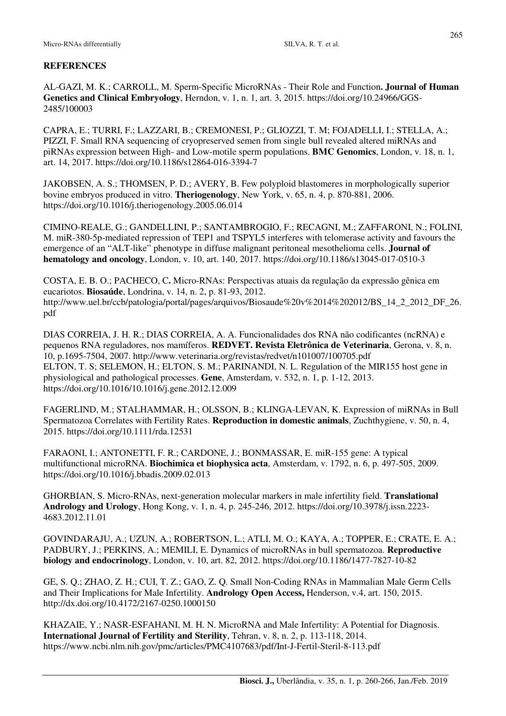#### **REFERENCES**

AL-GAZI, M. K.; CARROLL, M. Sperm-Specific MicroRNAs - Their Role and Function**. Journal of Human Genetics and Clinical Embryology**, Herndon, v. 1, n. 1, art. 3, 2015. https://doi.org/10.24966/GGS-2485/100003

CAPRA, E.; TURRI, F.; LAZZARI, B.; CREMONESI, P.; GLIOZZI, T. M; FOJADELLI, I.; STELLA, A.; PIZZI, F. Small RNA sequencing of cryopreserved semen from single bull revealed altered miRNAs and piRNAs expression between High- and Low-motile sperm populations. **BMC Genomics**, London, v. 18, n. 1, art. 14, 2017. https://doi.org/10.1186/s12864-016-3394-7

JAKOBSEN, A. S.; THOMSEN, P. D.; AVERY, B. Few polyploid blastomeres in morphologically superior bovine embryos produced in vitro. **Theriogenology**, New York, v. 65, n. 4, p. 870-881, 2006. https://doi.org/10.1016/j.theriogenology.2005.06.014

CIMINO-REALE, G.; GANDELLINI, P.; SANTAMBROGIO, F.; RECAGNI, M.; ZAFFARONI, N.; FOLINI, M. miR-380-5p-mediated repression of TEP1 and TSPYL5 interferes with telomerase activity and favours the emergence of an "ALT-like" phenotype in diffuse malignant peritoneal mesothelioma cells. **Journal of hematology and oncology**, London, v. 10, art. 140, 2017. https://doi.org/10.1186/s13045-017-0510-3

COSTA, E. B. O.; PACHECO, C**.** Micro-RNAs: Perspectivas atuais da regulação da expressão gênica em eucariotos. **Biosaúde**, Londrina, v. 14, n. 2, p. 81-93, 2012. http://www.uel.br/ccb/patologia/portal/pages/arquivos/Biosaude%20v%2014%202012/BS\_14\_2\_2012\_DF\_26. pdf

DIAS CORREIA, J. H. R.; DIAS CORREIA, A. A. Funcionalidades dos RNA não codificantes (ncRNA) e pequenos RNA reguladores, nos mamíferos. **REDVET. Revista Eletrônica de Veterinaria**, Gerona, v. 8, n. 10, p.1695-7504, 2007. http://www.veterinaria.org/revistas/redvet/n101007/100705.pdf ELTON, T. S; SELEMON, H.; ELTON, S. M.; PARINANDI, N. L. Regulation of the MIR155 host gene in physiological and pathological processes. **Gene**, Amsterdam, v. 532, n. 1, p. 1-12, 2013. https://doi.org/10.1016/10.1016/j.gene.2012.12.009

FAGERLIND, M.; STALHAMMAR, H.; OLSSON, B.; KLINGA-LEVAN, K. Expression of miRNAs in Bull Spermatozoa Correlates with Fertility Rates. **Reproduction in domestic animals**, Zuchthygiene, v. 50, n. 4, 2015. https://doi.org/10.1111/rda.12531

FARAONI, I.; ANTONETTI, F. R.; CARDONE, J.; BONMASSAR, E. miR-155 gene: A typical multifunctional microRNA. **Biochimica et biophysica acta**, Amsterdam, v. 1792, n. 6, p. 497-505, 2009. https://doi.org/10.1016/j.bbadis.2009.02.013

GHORBIAN, S. Micro-RNAs, next-generation molecular markers in male infertility field. **Translational Andrology and Urology**, Hong Kong, v. 1, n. 4, p. 245-246, 2012. https://doi.org/10.3978/j.issn.2223- 4683.2012.11.01

GOVINDARAJU, A.; UZUN, A.; ROBERTSON, L.; ATLI, M. O.; KAYA, A.; TOPPER, E.; CRATE, E. A.; PADBURY, J.; PERKINS, A.; MEMILI, E. Dynamics of microRNAs in bull spermatozoa. **Reproductive biology and endocrinology**, London, v. 10, art. 82, 2012. https://doi.org/10.1186/1477-7827-10-82

GE, S. Q.; ZHAO, Z. H.; CUI, T. Z.; GAO, Z. Q. Small Non-Coding RNAs in Mammalian Male Germ Cells and Their Implications for Male Infertility. **Andrology Open Access,** Henderson, v.4, art. 150, 2015. http://dx.doi.org/10.4172/2167-0250.1000150

KHAZAIE, Y.; NASR-ESFAHANI, M. H. N. MicroRNA and Male Infertility: A Potential for Diagnosis. **International Journal of Fertility and Sterility**, Tehran, v. 8, n. 2, p. 113-118, 2014. https://www.ncbi.nlm.nih.gov/pmc/articles/PMC4107683/pdf/Int-J-Fertil-Steril-8-113.pdf